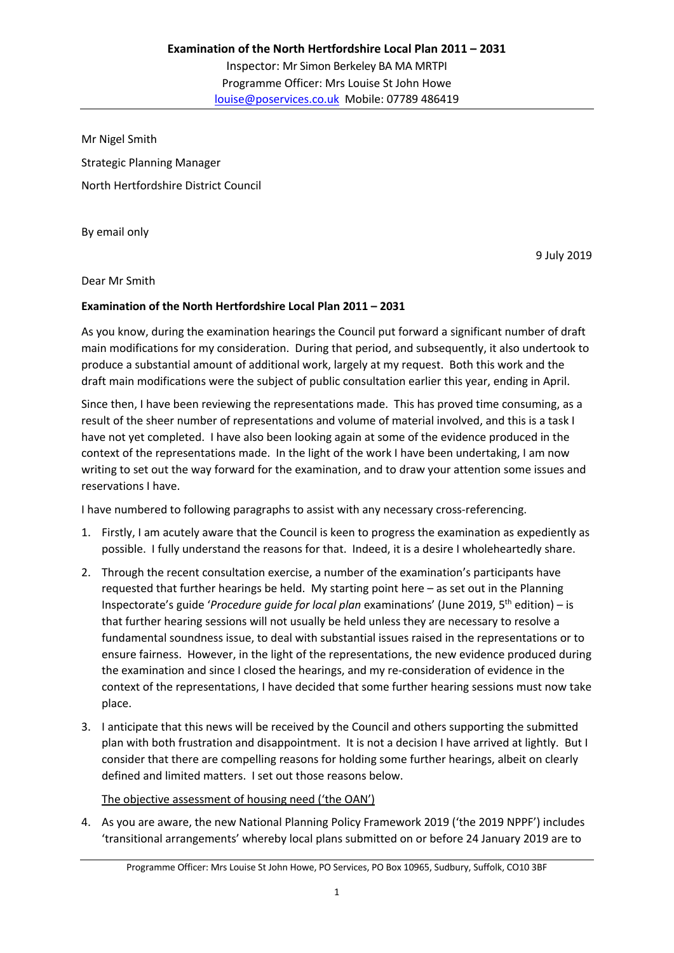Mr Nigel Smith Strategic Planning Manager North Hertfordshire District Council

By email only

9 July 2019

Dear Mr Smith

### **Examination of the North Hertfordshire Local Plan 2011 – 2031**

As you know, during the examination hearings the Council put forward a significant number of draft main modifications for my consideration. During that period, and subsequently, it also undertook to produce a substantial amount of additional work, largely at my request. Both this work and the draft main modifications were the subject of public consultation earlier this year, ending in April.

Since then, I have been reviewing the representations made. This has proved time consuming, as a result of the sheer number of representations and volume of material involved, and this is a task I have not yet completed. I have also been looking again at some of the evidence produced in the context of the representations made. In the light of the work I have been undertaking, I am now writing to set out the way forward for the examination, and to draw your attention some issues and reservations I have.

I have numbered to following paragraphs to assist with any necessary cross-referencing.

- 1. Firstly, I am acutely aware that the Council is keen to progress the examination as expediently as possible. I fully understand the reasons for that. Indeed, it is a desire I wholeheartedly share.
- 2. Through the recent consultation exercise, a number of the examination's participants have requested that further hearings be held. My starting point here – as set out in the Planning Inspectorate's guide '*Procedure guide for local plan* examinations' (June 2019, 5th edition) – is that further hearing sessions will not usually be held unless they are necessary to resolve a fundamental soundness issue, to deal with substantial issues raised in the representations or to ensure fairness. However, in the light of the representations, the new evidence produced during the examination and since I closed the hearings, and my re-consideration of evidence in the context of the representations, I have decided that some further hearing sessions must now take place.
- 3. I anticipate that this news will be received by the Council and others supporting the submitted plan with both frustration and disappointment. It is not a decision I have arrived at lightly. But I consider that there are compelling reasons for holding some further hearings, albeit on clearly defined and limited matters. I set out those reasons below.

The objective assessment of housing need ('the OAN')

4. As you are aware, the new National Planning Policy Framework 2019 ('the 2019 NPPF') includes 'transitional arrangements' whereby local plans submitted on or before 24 January 2019 are to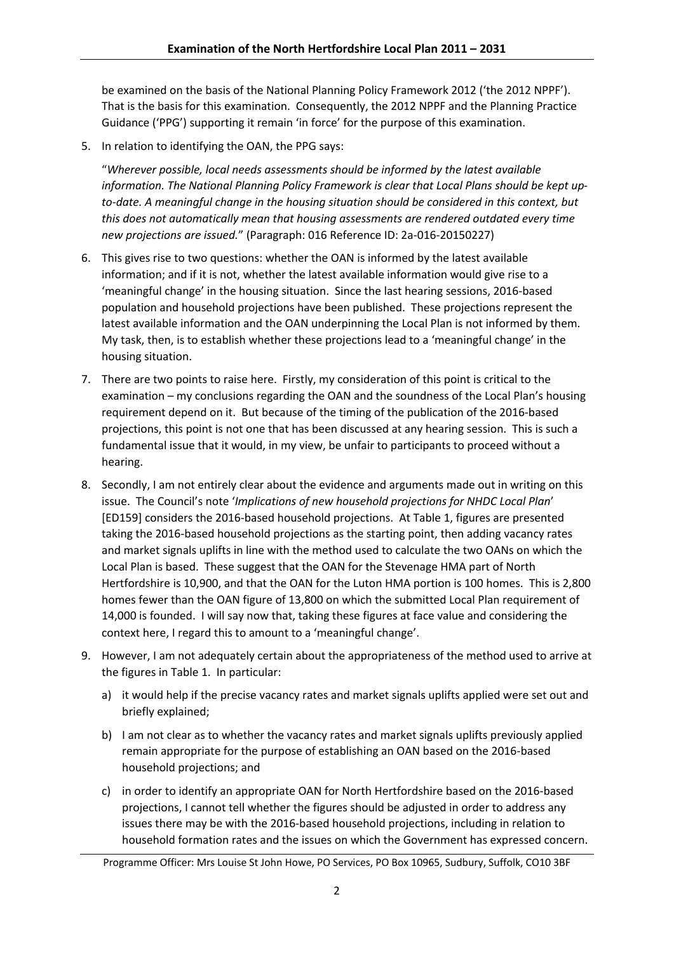be examined on the basis of the National Planning Policy Framework 2012 ('the 2012 NPPF'). That is the basis for this examination. Consequently, the 2012 NPPF and the Planning Practice Guidance ('PPG') supporting it remain 'in force' for the purpose of this examination.

5. In relation to identifying the OAN, the PPG says:

"*Wherever possible, local needs assessments should be informed by the latest available information. The National Planning Policy Framework is clear that Local Plans should be kept upto-date. A meaningful change in the housing situation should be considered in this context, but this does not automatically mean that housing assessments are rendered outdated every time new projections are issued.*" (Paragraph: 016 Reference ID: 2a-016-20150227)

- 6. This gives rise to two questions: whether the OAN is informed by the latest available information; and if it is not, whether the latest available information would give rise to a 'meaningful change' in the housing situation. Since the last hearing sessions, 2016-based population and household projections have been published. These projections represent the latest available information and the OAN underpinning the Local Plan is not informed by them. My task, then, is to establish whether these projections lead to a 'meaningful change' in the housing situation.
- 7. There are two points to raise here. Firstly, my consideration of this point is critical to the examination – my conclusions regarding the OAN and the soundness of the Local Plan's housing requirement depend on it. But because of the timing of the publication of the 2016-based projections, this point is not one that has been discussed at any hearing session. This is such a fundamental issue that it would, in my view, be unfair to participants to proceed without a hearing.
- 8. Secondly, I am not entirely clear about the evidence and arguments made out in writing on this issue. The Council's note '*Implications of new household projections for NHDC Local Plan*' [ED159] considers the 2016-based household projections. At Table 1, figures are presented taking the 2016-based household projections as the starting point, then adding vacancy rates and market signals uplifts in line with the method used to calculate the two OANs on which the Local Plan is based. These suggest that the OAN for the Stevenage HMA part of North Hertfordshire is 10,900, and that the OAN for the Luton HMA portion is 100 homes. This is 2,800 homes fewer than the OAN figure of 13,800 on which the submitted Local Plan requirement of 14,000 is founded. I will say now that, taking these figures at face value and considering the context here, I regard this to amount to a 'meaningful change'.
- 9. However, I am not adequately certain about the appropriateness of the method used to arrive at the figures in Table 1. In particular:
	- a) it would help if the precise vacancy rates and market signals uplifts applied were set out and briefly explained;
	- b) I am not clear as to whether the vacancy rates and market signals uplifts previously applied remain appropriate for the purpose of establishing an OAN based on the 2016-based household projections; and
	- c) in order to identify an appropriate OAN for North Hertfordshire based on the 2016-based projections, I cannot tell whether the figures should be adjusted in order to address any issues there may be with the 2016-based household projections, including in relation to household formation rates and the issues on which the Government has expressed concern.

Programme Officer: Mrs Louise St John Howe, PO Services, PO Box 10965, Sudbury, Suffolk, CO10 3BF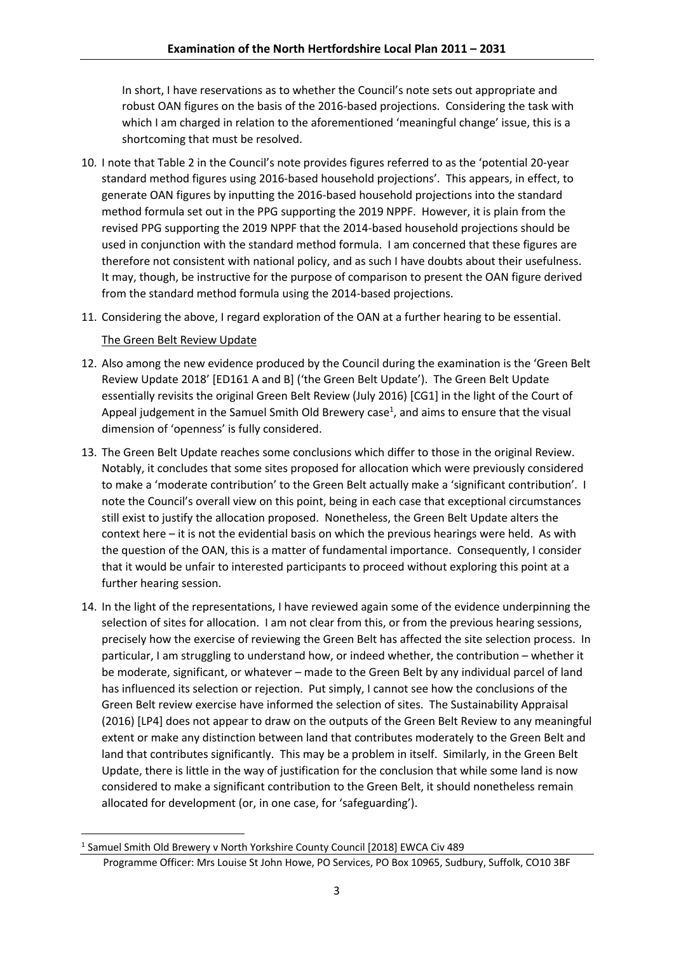In short, I have reservations as to whether the Council's note sets out appropriate and robust OAN figures on the basis of the 2016-based projections. Considering the task with which I am charged in relation to the aforementioned 'meaningful change' issue, this is a shortcoming that must be resolved.

- 10. I note that Table 2 in the Council's note provides figures referred to as the 'potential 20-year standard method figures using 2016-based household projections'. This appears, in effect, to generate OAN figures by inputting the 2016-based household projections into the standard method formula set out in the PPG supporting the 2019 NPPF. However, it is plain from the revised PPG supporting the 2019 NPPF that the 2014-based household projections should be used in conjunction with the standard method formula. I am concerned that these figures are therefore not consistent with national policy, and as such I have doubts about their usefulness. It may, though, be instructive for the purpose of comparison to present the OAN figure derived from the standard method formula using the 2014-based projections.
- 11. Considering the above, I regard exploration of the OAN at a further hearing to be essential.

## The Green Belt Review Update

- 12. Also among the new evidence produced by the Council during the examination is the 'Green Belt Review Update 2018' [ED161 A and B] ('the Green Belt Update'). The Green Belt Update essentially revisits the original Green Belt Review (July 2016) [CG1] in the light of the Court of Appeal judgement in the Samuel Smith Old Brewery case<sup>1</sup>, and aims to ensure that the visual dimension of 'openness' is fully considered.
- 13. The Green Belt Update reaches some conclusions which differ to those in the original Review. Notably, it concludes that some sites proposed for allocation which were previously considered to make a 'moderate contribution' to the Green Belt actually make a 'significant contribution'. I note the Council's overall view on this point, being in each case that exceptional circumstances still exist to justify the allocation proposed. Nonetheless, the Green Belt Update alters the context here – it is not the evidential basis on which the previous hearings were held. As with the question of the OAN, this is a matter of fundamental importance. Consequently, I consider that it would be unfair to interested participants to proceed without exploring this point at a further hearing session.
- 14. In the light of the representations, I have reviewed again some of the evidence underpinning the selection of sites for allocation. I am not clear from this, or from the previous hearing sessions, precisely how the exercise of reviewing the Green Belt has affected the site selection process. In particular, I am struggling to understand how, or indeed whether, the contribution – whether it be moderate, significant, or whatever – made to the Green Belt by any individual parcel of land has influenced its selection or rejection. Put simply, I cannot see how the conclusions of the Green Belt review exercise have informed the selection of sites. The Sustainability Appraisal (2016) [LP4] does not appear to draw on the outputs of the Green Belt Review to any meaningful extent or make any distinction between land that contributes moderately to the Green Belt and land that contributes significantly. This may be a problem in itself. Similarly, in the Green Belt Update, there is little in the way of justification for the conclusion that while some land is now considered to make a significant contribution to the Green Belt, it should nonetheless remain allocated for development (or, in one case, for 'safeguarding').

Programme Officer: Mrs Louise St John Howe, PO Services, PO Box 10965, Sudbury, Suffolk, CO10 3BF <sup>1</sup> Samuel Smith Old Brewery v North Yorkshire County Council [2018] EWCA Civ 489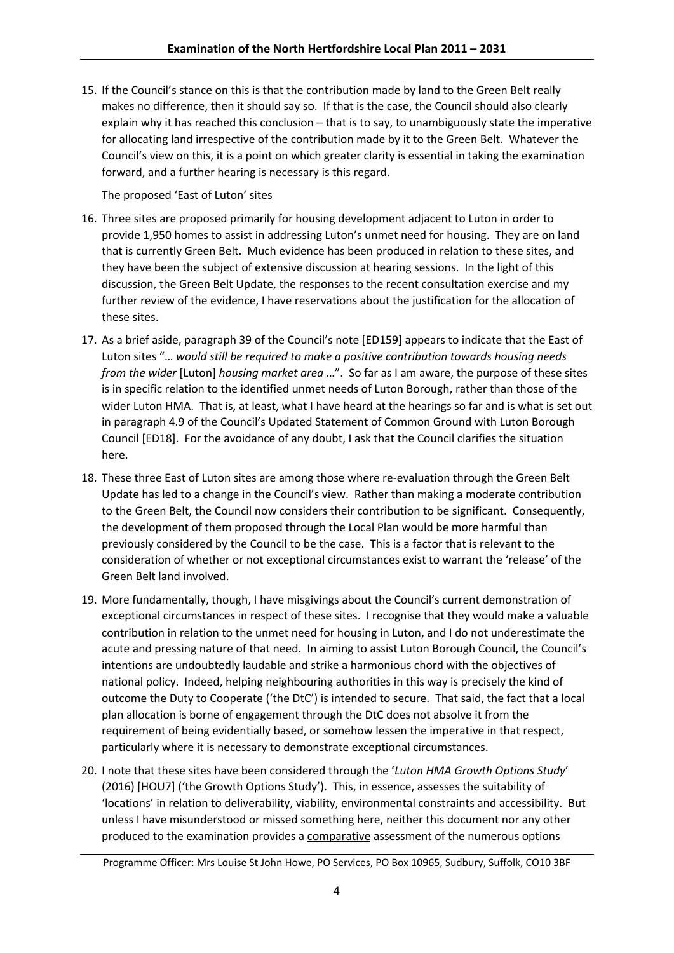15. If the Council's stance on this is that the contribution made by land to the Green Belt really makes no difference, then it should say so. If that is the case, the Council should also clearly explain why it has reached this conclusion – that is to say, to unambiguously state the imperative for allocating land irrespective of the contribution made by it to the Green Belt. Whatever the Council's view on this, it is a point on which greater clarity is essential in taking the examination forward, and a further hearing is necessary is this regard.

# The proposed 'East of Luton' sites

- 16. Three sites are proposed primarily for housing development adjacent to Luton in order to provide 1,950 homes to assist in addressing Luton's unmet need for housing. They are on land that is currently Green Belt. Much evidence has been produced in relation to these sites, and they have been the subject of extensive discussion at hearing sessions. In the light of this discussion, the Green Belt Update, the responses to the recent consultation exercise and my further review of the evidence, I have reservations about the justification for the allocation of these sites.
- 17. As a brief aside, paragraph 39 of the Council's note [ED159] appears to indicate that the East of Luton sites "… *would still be required to make a positive contribution towards housing needs from the wider* [Luton] *housing market area* …". So far as I am aware, the purpose of these sites is in specific relation to the identified unmet needs of Luton Borough, rather than those of the wider Luton HMA. That is, at least, what I have heard at the hearings so far and is what is set out in paragraph 4.9 of the Council's Updated Statement of Common Ground with Luton Borough Council [ED18]. For the avoidance of any doubt, I ask that the Council clarifies the situation here.
- 18. These three East of Luton sites are among those where re-evaluation through the Green Belt Update has led to a change in the Council's view. Rather than making a moderate contribution to the Green Belt, the Council now considers their contribution to be significant. Consequently, the development of them proposed through the Local Plan would be more harmful than previously considered by the Council to be the case. This is a factor that is relevant to the consideration of whether or not exceptional circumstances exist to warrant the 'release' of the Green Belt land involved.
- 19. More fundamentally, though, I have misgivings about the Council's current demonstration of exceptional circumstances in respect of these sites. I recognise that they would make a valuable contribution in relation to the unmet need for housing in Luton, and I do not underestimate the acute and pressing nature of that need. In aiming to assist Luton Borough Council, the Council's intentions are undoubtedly laudable and strike a harmonious chord with the objectives of national policy. Indeed, helping neighbouring authorities in this way is precisely the kind of outcome the Duty to Cooperate ('the DtC') is intended to secure. That said, the fact that a local plan allocation is borne of engagement through the DtC does not absolve it from the requirement of being evidentially based, or somehow lessen the imperative in that respect, particularly where it is necessary to demonstrate exceptional circumstances.
- 20. I note that these sites have been considered through the '*Luton HMA Growth Options Study*' (2016) [HOU7] ('the Growth Options Study'). This, in essence, assesses the suitability of 'locations' in relation to deliverability, viability, environmental constraints and accessibility. But unless I have misunderstood or missed something here, neither this document nor any other produced to the examination provides a comparative assessment of the numerous options

Programme Officer: Mrs Louise St John Howe, PO Services, PO Box 10965, Sudbury, Suffolk, CO10 3BF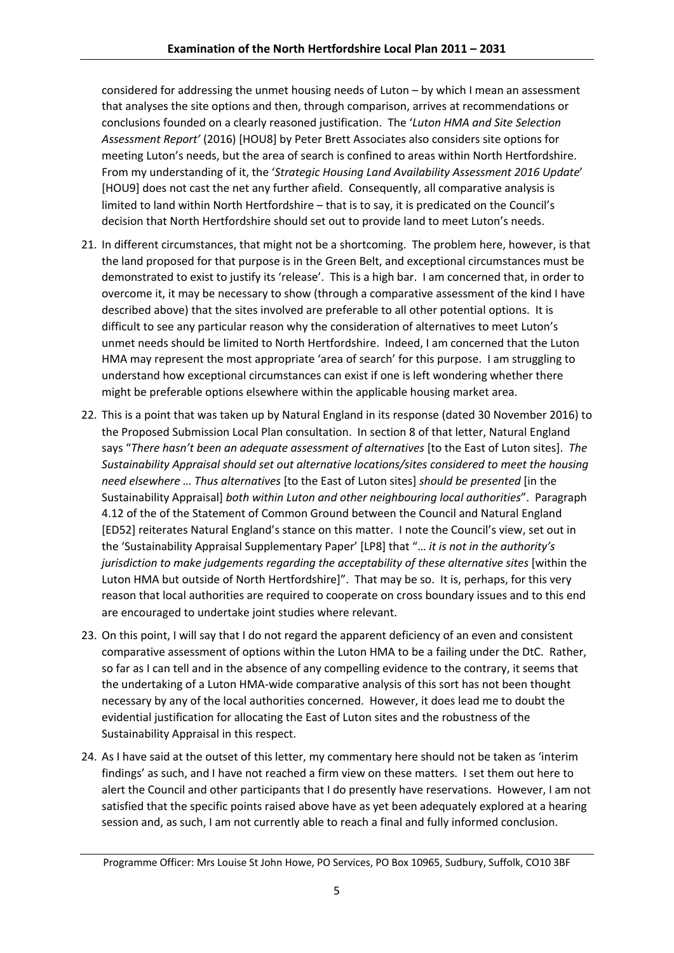considered for addressing the unmet housing needs of Luton – by which I mean an assessment that analyses the site options and then, through comparison, arrives at recommendations or conclusions founded on a clearly reasoned justification. The '*Luton HMA and Site Selection Assessment Report'* (2016) [HOU8] by Peter Brett Associates also considers site options for meeting Luton's needs, but the area of search is confined to areas within North Hertfordshire. From my understanding of it, the '*Strategic Housing Land Availability Assessment 2016 Update*' [HOU9] does not cast the net any further afield. Consequently, all comparative analysis is limited to land within North Hertfordshire – that is to say, it is predicated on the Council's decision that North Hertfordshire should set out to provide land to meet Luton's needs.

- 21. In different circumstances, that might not be a shortcoming. The problem here, however, is that the land proposed for that purpose is in the Green Belt, and exceptional circumstances must be demonstrated to exist to justify its 'release'. This is a high bar. I am concerned that, in order to overcome it, it may be necessary to show (through a comparative assessment of the kind I have described above) that the sites involved are preferable to all other potential options. It is difficult to see any particular reason why the consideration of alternatives to meet Luton's unmet needs should be limited to North Hertfordshire. Indeed, I am concerned that the Luton HMA may represent the most appropriate 'area of search' for this purpose. I am struggling to understand how exceptional circumstances can exist if one is left wondering whether there might be preferable options elsewhere within the applicable housing market area.
- 22. This is a point that was taken up by Natural England in its response (dated 30 November 2016) to the Proposed Submission Local Plan consultation. In section 8 of that letter, Natural England says "*There hasn't been an adequate assessment of alternatives* [to the East of Luton sites]. *The Sustainability Appraisal should set out alternative locations/sites considered to meet the housing need elsewhere … Thus alternatives* [to the East of Luton sites] *should be presented* [in the Sustainability Appraisal] *both within Luton and other neighbouring local authorities*". Paragraph 4.12 of the of the Statement of Common Ground between the Council and Natural England [ED52] reiterates Natural England's stance on this matter. I note the Council's view, set out in the 'Sustainability Appraisal Supplementary Paper' [LP8] that "… *it is not in the authority's jurisdiction to make judgements regarding the acceptability of these alternative sites* [within the Luton HMA but outside of North Hertfordshire]". That may be so. It is, perhaps, for this very reason that local authorities are required to cooperate on cross boundary issues and to this end are encouraged to undertake joint studies where relevant.
- 23. On this point, I will say that I do not regard the apparent deficiency of an even and consistent comparative assessment of options within the Luton HMA to be a failing under the DtC. Rather, so far as I can tell and in the absence of any compelling evidence to the contrary, it seems that the undertaking of a Luton HMA-wide comparative analysis of this sort has not been thought necessary by any of the local authorities concerned. However, it does lead me to doubt the evidential justification for allocating the East of Luton sites and the robustness of the Sustainability Appraisal in this respect.
- 24. As I have said at the outset of this letter, my commentary here should not be taken as 'interim findings' as such, and I have not reached a firm view on these matters. I set them out here to alert the Council and other participants that I do presently have reservations. However, I am not satisfied that the specific points raised above have as yet been adequately explored at a hearing session and, as such, I am not currently able to reach a final and fully informed conclusion.

Programme Officer: Mrs Louise St John Howe, PO Services, PO Box 10965, Sudbury, Suffolk, CO10 3BF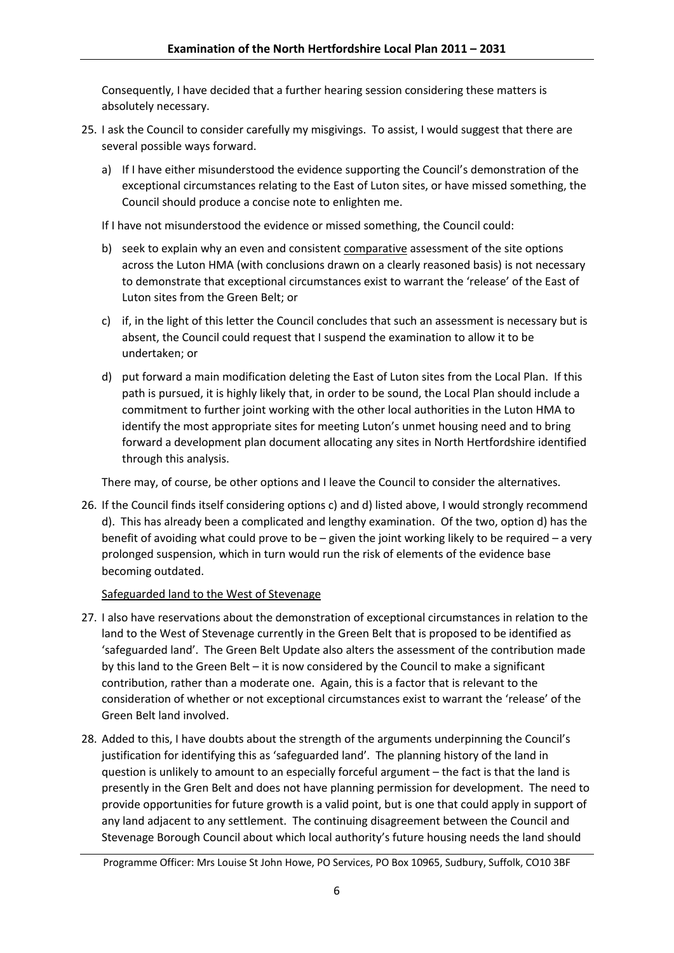Consequently, I have decided that a further hearing session considering these matters is absolutely necessary.

- 25. I ask the Council to consider carefully my misgivings. To assist, I would suggest that there are several possible ways forward.
	- a) If I have either misunderstood the evidence supporting the Council's demonstration of the exceptional circumstances relating to the East of Luton sites, or have missed something, the Council should produce a concise note to enlighten me.
	- If I have not misunderstood the evidence or missed something, the Council could:
	- b) seek to explain why an even and consistent comparative assessment of the site options across the Luton HMA (with conclusions drawn on a clearly reasoned basis) is not necessary to demonstrate that exceptional circumstances exist to warrant the 'release' of the East of Luton sites from the Green Belt; or
	- c) if, in the light of this letter the Council concludes that such an assessment is necessary but is absent, the Council could request that I suspend the examination to allow it to be undertaken; or
	- d) put forward a main modification deleting the East of Luton sites from the Local Plan. If this path is pursued, it is highly likely that, in order to be sound, the Local Plan should include a commitment to further joint working with the other local authorities in the Luton HMA to identify the most appropriate sites for meeting Luton's unmet housing need and to bring forward a development plan document allocating any sites in North Hertfordshire identified through this analysis.

There may, of course, be other options and I leave the Council to consider the alternatives.

26. If the Council finds itself considering options c) and d) listed above, I would strongly recommend d). This has already been a complicated and lengthy examination. Of the two, option d) has the benefit of avoiding what could prove to be – given the joint working likely to be required – a very prolonged suspension, which in turn would run the risk of elements of the evidence base becoming outdated.

Safeguarded land to the West of Stevenage

- 27. I also have reservations about the demonstration of exceptional circumstances in relation to the land to the West of Stevenage currently in the Green Belt that is proposed to be identified as 'safeguarded land'. The Green Belt Update also alters the assessment of the contribution made by this land to the Green Belt – it is now considered by the Council to make a significant contribution, rather than a moderate one. Again, this is a factor that is relevant to the consideration of whether or not exceptional circumstances exist to warrant the 'release' of the Green Belt land involved.
- 28. Added to this, I have doubts about the strength of the arguments underpinning the Council's justification for identifying this as 'safeguarded land'. The planning history of the land in question is unlikely to amount to an especially forceful argument – the fact is that the land is presently in the Gren Belt and does not have planning permission for development. The need to provide opportunities for future growth is a valid point, but is one that could apply in support of any land adjacent to any settlement. The continuing disagreement between the Council and Stevenage Borough Council about which local authority's future housing needs the land should

Programme Officer: Mrs Louise St John Howe, PO Services, PO Box 10965, Sudbury, Suffolk, CO10 3BF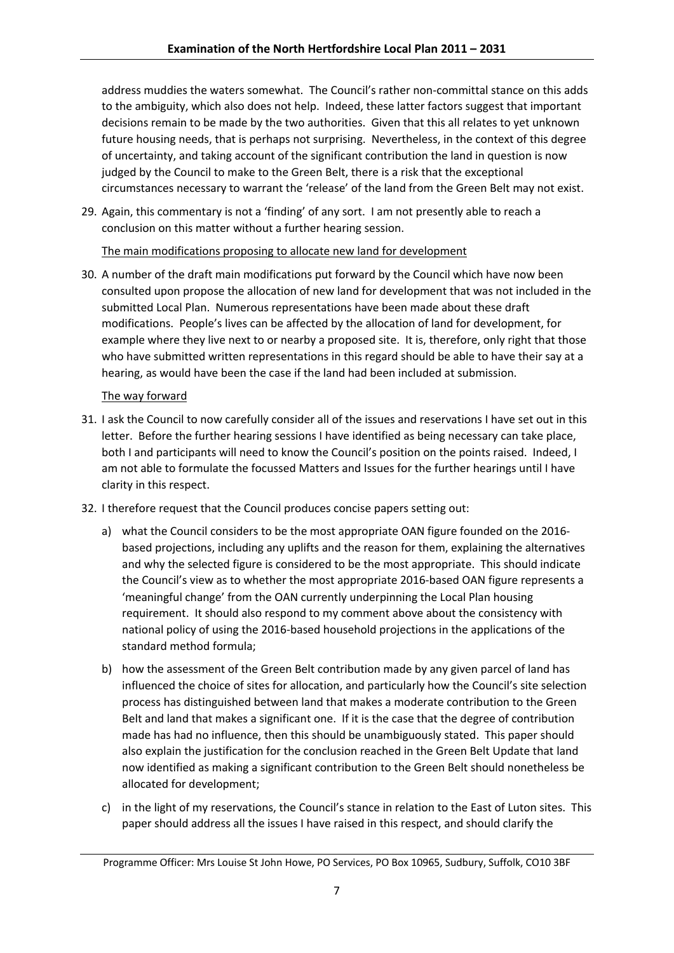address muddies the waters somewhat. The Council's rather non-committal stance on this adds to the ambiguity, which also does not help. Indeed, these latter factors suggest that important decisions remain to be made by the two authorities. Given that this all relates to yet unknown future housing needs, that is perhaps not surprising. Nevertheless, in the context of this degree of uncertainty, and taking account of the significant contribution the land in question is now judged by the Council to make to the Green Belt, there is a risk that the exceptional circumstances necessary to warrant the 'release' of the land from the Green Belt may not exist.

29. Again, this commentary is not a 'finding' of any sort. I am not presently able to reach a conclusion on this matter without a further hearing session.

## The main modifications proposing to allocate new land for development

30. A number of the draft main modifications put forward by the Council which have now been consulted upon propose the allocation of new land for development that was not included in the submitted Local Plan. Numerous representations have been made about these draft modifications. People's lives can be affected by the allocation of land for development, for example where they live next to or nearby a proposed site. It is, therefore, only right that those who have submitted written representations in this regard should be able to have their say at a hearing, as would have been the case if the land had been included at submission.

## The way forward

- 31. I ask the Council to now carefully consider all of the issues and reservations I have set out in this letter. Before the further hearing sessions I have identified as being necessary can take place, both I and participants will need to know the Council's position on the points raised. Indeed, I am not able to formulate the focussed Matters and Issues for the further hearings until I have clarity in this respect.
- 32. I therefore request that the Council produces concise papers setting out:
	- a) what the Council considers to be the most appropriate OAN figure founded on the 2016 based projections, including any uplifts and the reason for them, explaining the alternatives and why the selected figure is considered to be the most appropriate. This should indicate the Council's view as to whether the most appropriate 2016-based OAN figure represents a 'meaningful change' from the OAN currently underpinning the Local Plan housing requirement. It should also respond to my comment above about the consistency with national policy of using the 2016-based household projections in the applications of the standard method formula;
	- b) how the assessment of the Green Belt contribution made by any given parcel of land has influenced the choice of sites for allocation, and particularly how the Council's site selection process has distinguished between land that makes a moderate contribution to the Green Belt and land that makes a significant one. If it is the case that the degree of contribution made has had no influence, then this should be unambiguously stated. This paper should also explain the justification for the conclusion reached in the Green Belt Update that land now identified as making a significant contribution to the Green Belt should nonetheless be allocated for development;
	- c) in the light of my reservations, the Council's stance in relation to the East of Luton sites. This paper should address all the issues I have raised in this respect, and should clarify the

Programme Officer: Mrs Louise St John Howe, PO Services, PO Box 10965, Sudbury, Suffolk, CO10 3BF